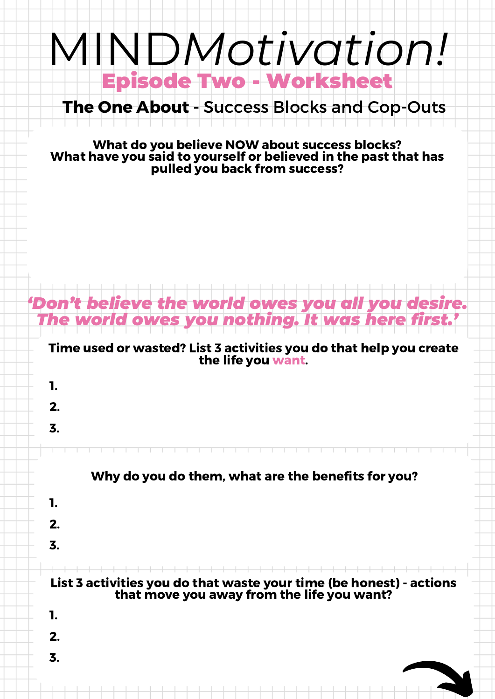## Episode Two - Worksheet MIND*Motivation!*

## The One About - Success Blocks and Cop-Outs

What do you believe NOW about success blocks? What have you said to yourself or believed in the past that has pulled you back from success?

## Time used or wasted? List 3 activities you do that help you create the life you want. *'Don't believe the world owes you all you desire. The world owes you nothing. It was here first. '* 1. 2. 3. List 3 activities you do that waste your time (be honest) - actions that move you away from the life you want? Why do you do them, what are the benefits for you? 1. 2. 3. 1. 2. 3.